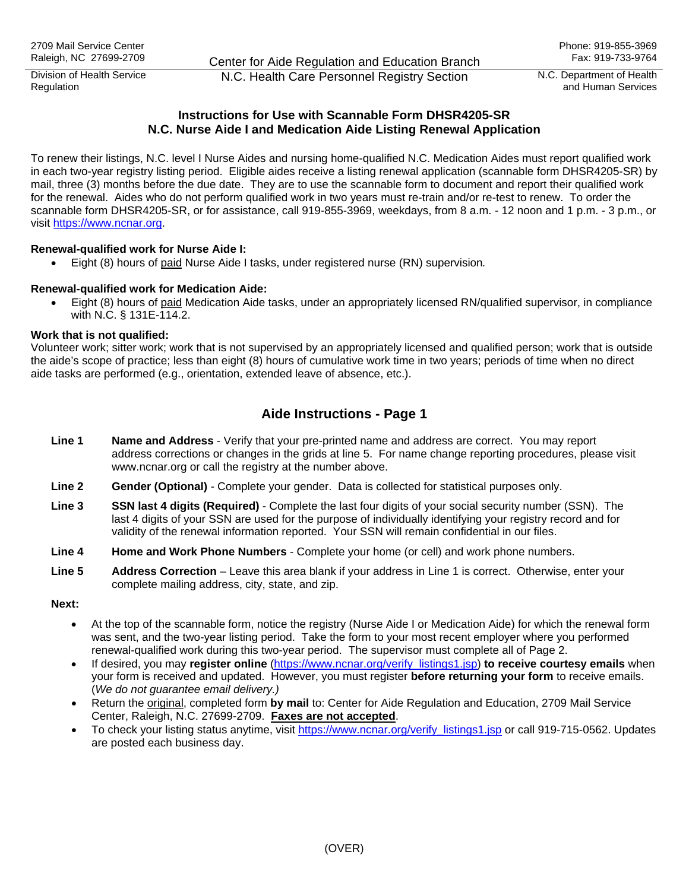Division of Health Service

Division of Health Service **N.C. Health Care Personnel Registry Section** N.C. Department of Health<br>Regulation and Human Services

and Human Services

# **Instructions for Use with Scannable Form DHSR4205-SR N.C. Nurse Aide I and Medication Aide Listing Renewal Application**

To renew their listings, N.C. level I Nurse Aides and nursing home-qualified N.C. Medication Aides must report qualified work in each two-year registry listing period. Eligible aides receive a listing renewal application (scannable form DHSR4205-SR) by mail, three (3) months before the due date. They are to use the scannable form to document and report their qualified work for the renewal. Aides who do not perform qualified work in two years must re-train and/or re-test to renew. To order the scannable form DHSR4205-SR, or for assistance, call 919-855-3969, weekdays, from 8 a.m. - 12 noon and 1 p.m. - 3 p.m., or visit [https://www.ncnar.org](https://www.ncnar.org/).

## **Renewal-qualified work for Nurse Aide I:**

• Eight (8) hours of paid Nurse Aide I tasks, under registered nurse (RN) supervision*.*

## **Renewal-qualified work for Medication Aide:**

• Eight (8) hours of paid Medication Aide tasks, under an appropriately licensed RN/qualified supervisor, in compliance with N.C. § 131E-114.2.

#### **Work that is not qualified:**

Volunteer work; sitter work; work that is not supervised by an appropriately licensed and qualified person; work that is outside the aide's scope of practice; less than eight (8) hours of cumulative work time in two years; periods of time when no direct aide tasks are performed (e.g., orientation, extended leave of absence, etc.).

# **Aide Instructions - Page 1**

- **Line 1 Name and Address**  Verify that your pre-printed name and address are correct. You may report address corrections or changes in the grids at line 5. For name change reporting procedures, please visit www.ncnar.org or call the registry at the number above.
- **Line 2 Gender (Optional)**Complete your gender. Data is collected for statistical purposes only.
- **Line 3 SSN last 4 digits (Required)**  Complete the last four digits of your social security number (SSN). The last 4 digits of your SSN are used for the purpose of individually identifying your registry record and for validity of the renewal information reported. Your SSN will remain confidential in our files.
- **Line 4 Home and Work Phone Numbers** Complete your home (or cell) and work phone numbers.
- **Line 5 Address Correction** Leave this area blank if your address in Line 1 is correct. Otherwise, enter your complete mailing address, city, state, and zip.

#### **Next:**

- At the top of the scannable form, notice the registry (Nurse Aide I or Medication Aide) for which the renewal form was sent, and the two-year listing period. Take the form to your most recent employer where you performed renewal-qualified work during this two-year period. The supervisor must complete all of Page 2.
- If desired, you may **register online** ([https://www.ncnar.org/verify\\_listings1.jsp](https://www.ncnar.org/verify_listings1.jsp)) **to receive courtesy emails** when your form is received and updated. However, you must register **before returning your form** to receive emails. (*We do not guarantee email delivery.)*
- Return the original, completed form **by mail** to: Center for Aide Regulation and Education, 2709 Mail Service Center, Raleigh, N.C. 27699-2709. **Faxes are not accepted**.
- To check your listing status anytime, visit [https://www.ncnar.org/verify\\_listings1.jsp](https://www.ncnar.org/verify_listings1.jsp) or call 919-715-0562. Updates are posted each business day.